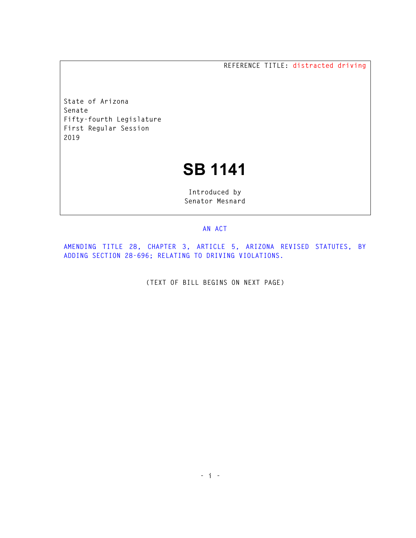**REFERENCE TITLE: distracted driving** 

**State of Arizona Senate Fifty-fourth Legislature First Regular Session 2019** 

## **SB 1141**

**Introduced by Senator Mesnard** 

## **AN ACT**

**AMENDING TITLE 28, CHAPTER 3, ARTICLE 5, ARIZONA REVISED STATUTES, BY ADDING SECTION 28-696; RELATING TO DRIVING VIOLATIONS.** 

**(TEXT OF BILL BEGINS ON NEXT PAGE)**